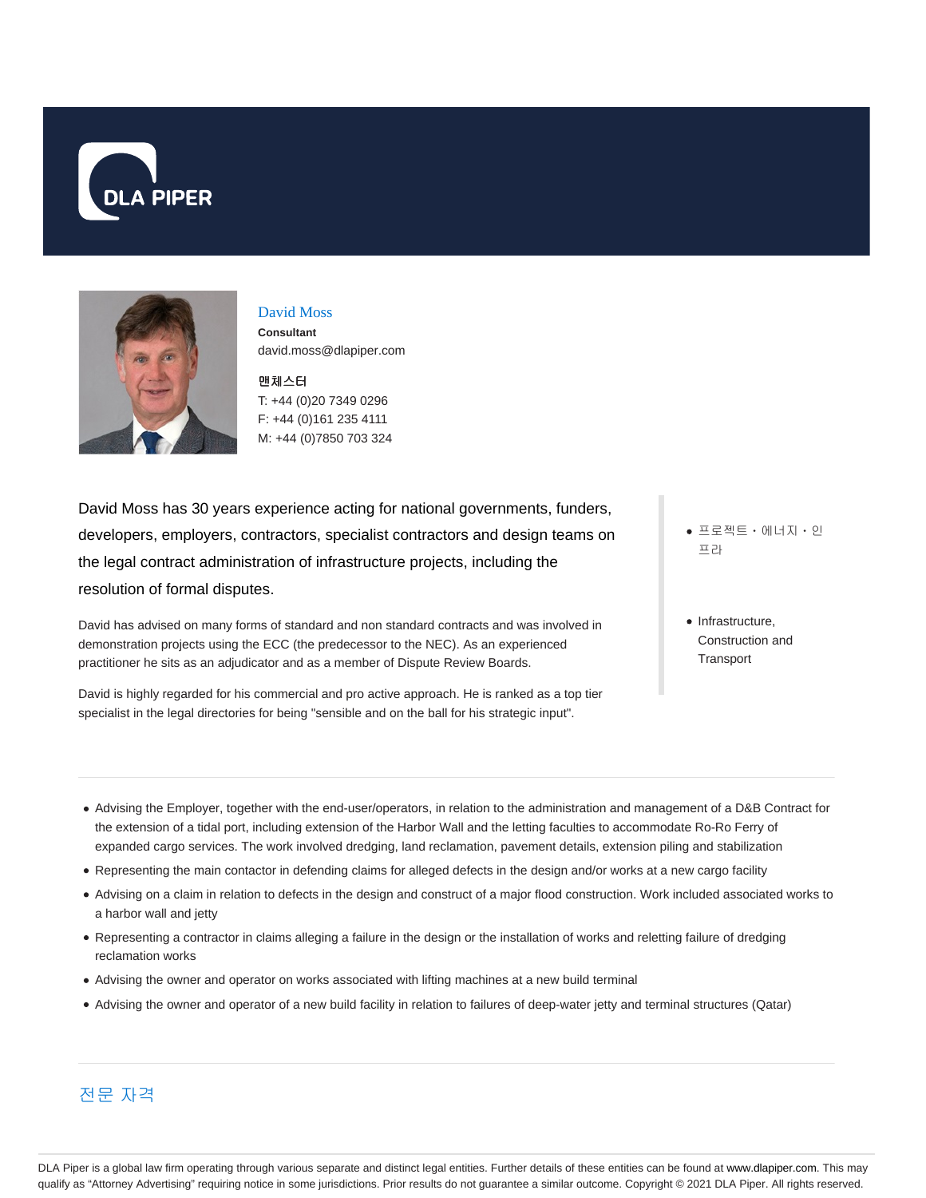



#### David Moss

**Consultant** david.moss@dlapiper.com

맨체스터 T: +44 (0)20 7349 0296 F: +44 (0)161 235 4111 M: +44 (0)7850 703 324

David Moss has 30 years experience acting for national governments, funders, developers, employers, contractors, specialist contractors and design teams on the legal contract administration of infrastructure projects, including the resolution of formal disputes.

David has advised on many forms of standard and non standard contracts and was involved in demonstration projects using the ECC (the predecessor to the NEC). As an experienced practitioner he sits as an adjudicator and as a member of Dispute Review Boards.

David is highly regarded for his commercial and pro active approach. He is ranked as a top tier specialist in the legal directories for being "sensible and on the ball for his strategic input".

프로젝트ㆍ에너지ㆍ인 프라

• Infrastructure, Construction and **Transport** 

- Advising the Employer, together with the end-user/operators, in relation to the administration and management of a D&B Contract for the extension of a tidal port, including extension of the Harbor Wall and the letting faculties to accommodate Ro-Ro Ferry of expanded cargo services. The work involved dredging, land reclamation, pavement details, extension piling and stabilization
- Representing the main contactor in defending claims for alleged defects in the design and/or works at a new cargo facility
- Advising on a claim in relation to defects in the design and construct of a major flood construction. Work included associated works to a harbor wall and jetty
- Representing a contractor in claims alleging a failure in the design or the installation of works and reletting failure of dredging reclamation works
- Advising the owner and operator on works associated with lifting machines at a new build terminal
- Advising the owner and operator of a new build facility in relation to failures of deep-water jetty and terminal structures (Qatar)

# 전문 자격

DLA Piper is a global law firm operating through various separate and distinct legal entities. Further details of these entities can be found at www.dlapiper.com. This may qualify as "Attorney Advertising" requiring notice in some jurisdictions. Prior results do not guarantee a similar outcome. Copyright © 2021 DLA Piper. All rights reserved.